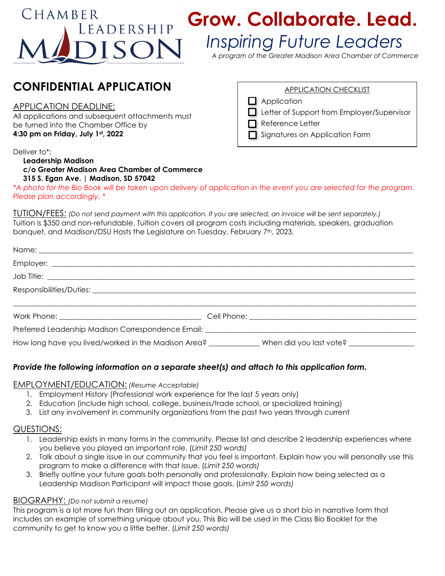# $CHAMBER$

# LEADERSHIP Grow. Collaborate. Lead.

## *Inspiring Future Leaders*

*A program of the Greater Madison Area Chamber of Commerce*

### **CONFIDENTIAL APPLICATION**

#### APPLICATION DEADLINE:

All applications and subsequent attachments must be turned into the Chamber Office by **4:30 pm on Friday, July 1st, 2022**

#### Deliver to\*:

#### **Leadership Madison c/o Greater Madison Area Chamber of Commerce 315 S. Egan Ave. | Madison, SD 57042**

*\*A photo for the Bio Book will be taken upon delivery of application in the event you are selected for the program. Please plan accordingly. \**

TUTION/FEES: *(Do not send payment with this application. If you are selected, an invoice will be sent separately.)* Tuition is \$350 and non-refundable. Tuition covers all program costs including materials, speakers, graduation banquet, and Madison/DSU Hosts the Legislature on Tuesday, February 7<sup>th</sup>, 2023.

| Preferred Leadership Madison Correspondence Email: Network and the Correspondence Correspondence Correspondence |  |  |
|-----------------------------------------------------------------------------------------------------------------|--|--|
| How long have you lived/worked in the Madison Area? _____________When did you last vote? __________             |  |  |

#### *Provide the following information on a separate sheet(s) and attach to this application form.*

#### EMPLOYMENT/EDUCATION: *(Resume Acceptable)*

- 1. Employment History (Professional work experience for the last 5 years only)
- 2. Education (include high school, college, business/trade school, or specialized training)
- 3. List any involvement in community organizations from the past two years through current

#### QUESTIONS:

- 1. Leadership exists in many forms in the community. Please list and describe 2 leadership experiences where you believe you played an important role. (*Limit 250 words)*
- 2. Talk about a single issue in our community that you feel is important. Explain how you will personally use this program to make a difference with that issue. (*Limit 250 words)*
- 3. Briefly outline your future goals both personally and professionally. Explain how being selected as a Leadership Madison Participant will impact those goals. (*Limit 250 words)*

#### BIOGRAPHY: *(Do not submit a resume)*

This program is a lot more fun than filling out an application. Please give us a short bio in narrative form that includes an example of something unique about you. This Bio will be used in the Class Bio Booklet for the community to get to know you a little better. (*Limit 250 words)*

#### APPLICATION CHECKLIST

- $\Box$  Application
- Letter of Support from Employer/Supervisor
- $\Box$  Reference Letter
- Signatures on Application Form